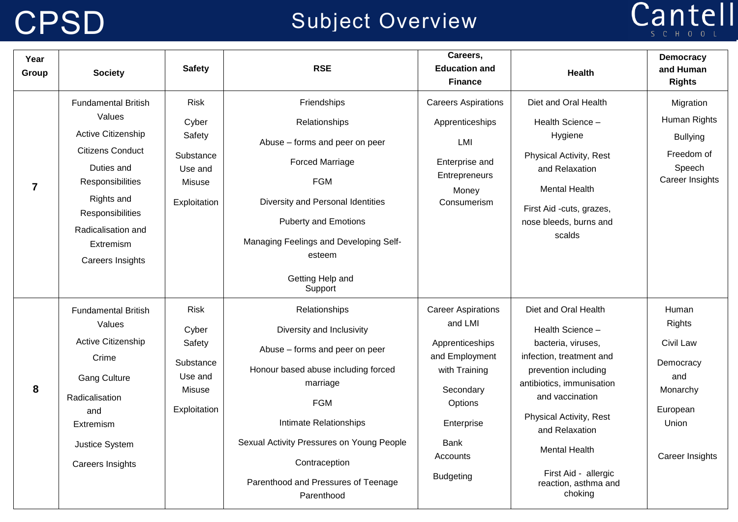### CPSD Subject Overview

# Cantell

| Year<br>Group  | <b>Society</b>                                                                                                                                                                                                   | <b>Safety</b>                                                                    | <b>RSE</b>                                                                                                                                                                                                                                                                                 | Careers,<br><b>Education and</b><br><b>Finance</b>                                                                                                                       | <b>Health</b>                                                                                                                                                                                                                                                                                      | <b>Democracy</b><br>and Human<br><b>Rights</b>                                                              |
|----------------|------------------------------------------------------------------------------------------------------------------------------------------------------------------------------------------------------------------|----------------------------------------------------------------------------------|--------------------------------------------------------------------------------------------------------------------------------------------------------------------------------------------------------------------------------------------------------------------------------------------|--------------------------------------------------------------------------------------------------------------------------------------------------------------------------|----------------------------------------------------------------------------------------------------------------------------------------------------------------------------------------------------------------------------------------------------------------------------------------------------|-------------------------------------------------------------------------------------------------------------|
| $\overline{7}$ | <b>Fundamental British</b><br>Values<br>Active Citizenship<br><b>Citizens Conduct</b><br>Duties and<br>Responsibilities<br>Rights and<br>Responsibilities<br>Radicalisation and<br>Extremism<br>Careers Insights | <b>Risk</b><br>Cyber<br>Safety<br>Substance<br>Use and<br>Misuse<br>Exploitation | Friendships<br>Relationships<br>Abuse - forms and peer on peer<br><b>Forced Marriage</b><br><b>FGM</b><br>Diversity and Personal Identities<br><b>Puberty and Emotions</b><br>Managing Feelings and Developing Self-<br>esteem<br>Getting Help and<br>Support                              | <b>Careers Aspirations</b><br>Apprenticeships<br>LMI<br>Enterprise and<br>Entrepreneurs<br>Money<br>Consumerism                                                          | Diet and Oral Health<br>Health Science -<br>Hygiene<br><b>Physical Activity, Rest</b><br>and Relaxation<br><b>Mental Health</b><br>First Aid -cuts, grazes,<br>nose bleeds, burns and<br>scalds                                                                                                    | Migration<br>Human Rights<br><b>Bullying</b><br>Freedom of<br>Speech<br>Career Insights                     |
| 8              | <b>Fundamental British</b><br>Values<br>Active Citizenship<br>Crime<br><b>Gang Culture</b><br>Radicalisation<br>and<br>Extremism<br>Justice System<br><b>Careers Insights</b>                                    | <b>Risk</b><br>Cyber<br>Safety<br>Substance<br>Use and<br>Misuse<br>Exploitation | Relationships<br>Diversity and Inclusivity<br>Abuse - forms and peer on peer<br>Honour based abuse including forced<br>marriage<br><b>FGM</b><br>Intimate Relationships<br>Sexual Activity Pressures on Young People<br>Contraception<br>Parenthood and Pressures of Teenage<br>Parenthood | <b>Career Aspirations</b><br>and LMI<br>Apprenticeships<br>and Employment<br>with Training<br>Secondary<br>Options<br>Enterprise<br>Bank<br>Accounts<br><b>Budgeting</b> | Diet and Oral Health<br>Health Science -<br>bacteria, viruses,<br>infection, treatment and<br>prevention including<br>antibiotics, immunisation<br>and vaccination<br>Physical Activity, Rest<br>and Relaxation<br><b>Mental Health</b><br>First Aid - allergic<br>reaction, asthma and<br>choking | Human<br><b>Rights</b><br>Civil Law<br>Democracy<br>and<br>Monarchy<br>European<br>Union<br>Career Insights |